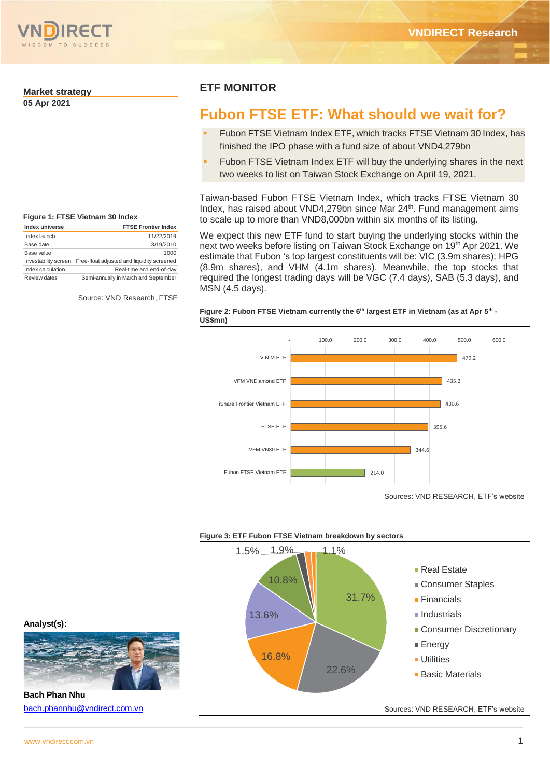

### **Market strategy**

**05 Apr 2021**

# **Figure 1: FTSE Vietnam 30 Index**

| Index universe       | <b>FTSE Frontier Index</b>                 |
|----------------------|--------------------------------------------|
| Index launch         | 11/22/2019                                 |
| Base date            | 3/19/2010                                  |
| Base value           | 1000                                       |
| Investability screen | Free-float adjusted and liquidity screened |
| Index calculation    | Real-time and end-of-day                   |
| Review dates         | Semi-annually in March and September       |

Source: VND Research, FTSE

# **ETF MONITOR**

# **Fubon FTSE ETF: What should we wait for?**

- Fubon FTSE Vietnam Index ETF, which tracks FTSE Vietnam 30 Index, has finished the IPO phase with a fund size of about VND4,279bn
- Fubon FTSE Vietnam Index ETF will buy the underlying shares in the next two weeks to list on Taiwan Stock Exchange on April 19, 2021.

Taiwan-based Fubon FTSE Vietnam Index, which tracks FTSE Vietnam 30 Index, has raised about VND4,279bn since Mar 24<sup>th</sup>. Fund management aims to scale up to more than VND8,000bn within six months of its listing.

We expect this new ETF fund to start buying the underlying stocks within the next two weeks before listing on Taiwan Stock Exchange on 19<sup>th</sup> Apr 2021. We estimate that Fubon 's top largest constituents will be: VIC (3.9m shares); HPG (8.9m shares), and VHM (4.1m shares). Meanwhile, the top stocks that required the longest trading days will be VGC (7.4 days), SAB (5.3 days), and MSN (4.5 days).

#### **Figure 2: Fubon FTSE Vietnam currently the 6th largest ETF in Vietnam (as at Apr 5th - US\$mn)**



#### **Figure 3: ETF Fubon FTSE Vietnam breakdown by sectors**



**Analyst(s):**



**Bach Phan Nhu** [bach.phannhu@vndirect.com.vn](mailto:bach.phannhu@vndirect.com.vn)

Sources: VND RESEARCH, ETF's website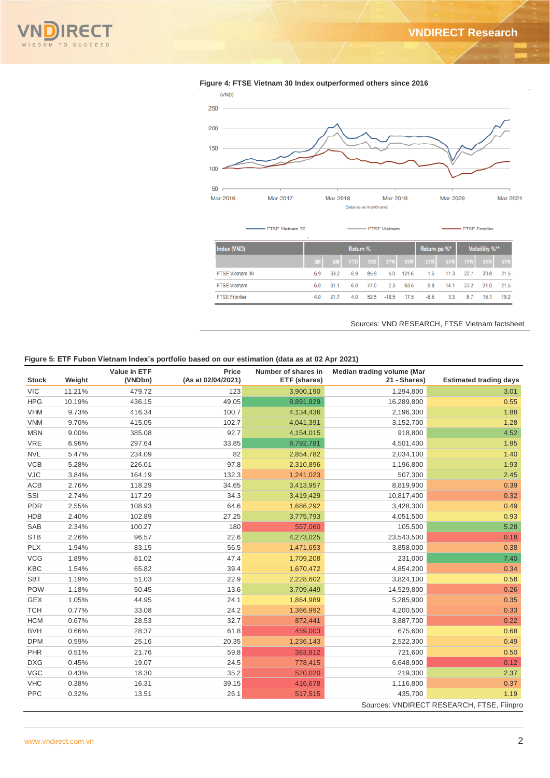



#### **Figure 4: FTSE Vietnam 30 Index outperformed others since 2016**

#### Sources: VND RESEARCH, FTSE Vietnam factsheet

#### **Figure 5: ETF Fubon Vietnam Index's portfolio based on our estimation (data as at 02 Apr 2021)**

|              |        | Value in ETF | Price              | Number of shares in | Median trading volume (Mar |                                           |
|--------------|--------|--------------|--------------------|---------------------|----------------------------|-------------------------------------------|
| <b>Stock</b> | Weight | (VNDbn)      | (As at 02/04/2021) | ETF (shares)        | 21 - Shares)               | <b>Estimated trading days</b>             |
| <b>VIC</b>   | 11.21% | 479.72       | 123                | 3,900,190           | 1,294,800                  | 3.01                                      |
| <b>HPG</b>   | 10.19% | 436.15       | 49.05              | 8,891,929           | 16,289,800                 | 0.55                                      |
| <b>VHM</b>   | 9.73%  | 416.34       | 100.7              | 4,134,436           | 2,196,300                  | 1.88                                      |
| <b>VNM</b>   | 9.70%  | 415.05       | 102.7              | 4,041,391           | 3,152,700                  | 1.28                                      |
| <b>MSN</b>   | 9.00%  | 385.08       | 92.7               | 4,154,015           | 918,800                    | 4.52                                      |
| <b>VRE</b>   | 6.96%  | 297.64       | 33.85              | 8,792,781           | 4,501,400                  | 1.95                                      |
| <b>NVL</b>   | 5.47%  | 234.09       | 82                 | 2,854,782           | 2,034,100                  | 1.40                                      |
| <b>VCB</b>   | 5.28%  | 226.01       | 97.8               | 2,310,896           | 1,196,800                  | 1.93                                      |
| <b>VJC</b>   | 3.84%  | 164.19       | 132.3              | 1,241,023           | 507,300                    | 2.45                                      |
| ACB          | 2.76%  | 118.29       | 34.65              | 3,413,957           | 8,819,900                  | 0.39                                      |
| SSI          | 2.74%  | 117.29       | 34.3               | 3,419,429           | 10,817,400                 | 0.32                                      |
| <b>PDR</b>   | 2.55%  | 108.93       | 64.6               | 1,686,292           | 3,428,300                  | 0.49                                      |
| <b>HDB</b>   | 2.40%  | 102.89       | 27.25              | 3,775,793           | 4,051,500                  | 0.93                                      |
| SAB          | 2.34%  | 100.27       | 180                | 557,060             | 105,500                    | 5.28                                      |
| <b>STB</b>   | 2.26%  | 96.57        | 22.6               | 4,273,025           | 23,543,500                 | 0.18                                      |
| <b>PLX</b>   | 1.94%  | 83.15        | 56.5               | 1,471,653           | 3,858,000                  | 0.38                                      |
| <b>VCG</b>   | 1.89%  | 81.02        | 47.4               | 1,709,208           | 231,000                    | 7.40                                      |
| <b>KBC</b>   | 1.54%  | 65.82        | 39.4               | 1,670,472           | 4,854,200                  | 0.34                                      |
| <b>SBT</b>   | 1.19%  | 51.03        | 22.9               | 2,228,602           | 3,824,100                  | 0.58                                      |
| <b>POW</b>   | 1.18%  | 50.45        | 13.6               | 3,709,449           | 14,529,800                 | 0.26                                      |
| <b>GEX</b>   | 1.05%  | 44.95        | 24.1               | 1,864,989           | 5,285,900                  | 0.35                                      |
| <b>TCH</b>   | 0.77%  | 33.08        | 24.2               | 1,366,992           | 4,200,500                  | 0.33                                      |
| <b>HCM</b>   | 0.67%  | 28.53        | 32.7               | 872,441             | 3,887,700                  | 0.22                                      |
| <b>BVH</b>   | 0.66%  | 28.37        | 61.8               | 459,003             | 675,600                    | 0.68                                      |
| <b>DPM</b>   | 0.59%  | 25.16        | 20.35              | 1,236,143           | 2,522,300                  | 0.49                                      |
| <b>PHR</b>   | 0.51%  | 21.76        | 59.8               | 363,812             | 721,600                    | 0.50                                      |
| <b>DXG</b>   | 0.45%  | 19.07        | 24.5               | 778,415             | 6,648,900                  | 0.12                                      |
| <b>VGC</b>   | 0.43%  | 18.30        | 35.2               | 520,020             | 219,300                    | 2.37                                      |
| <b>VHC</b>   | 0.38%  | 16.31        | 39.15              | 416,678             | 1,116,800                  | 0.37                                      |
| <b>PPC</b>   | 0.32%  | 13.51        | 26.1               | 517,515             | 435,700                    | 1.19                                      |
|              |        |              |                    |                     |                            | Sources: VNDIRECT RESEARCH, FTSE, Fiinpro |